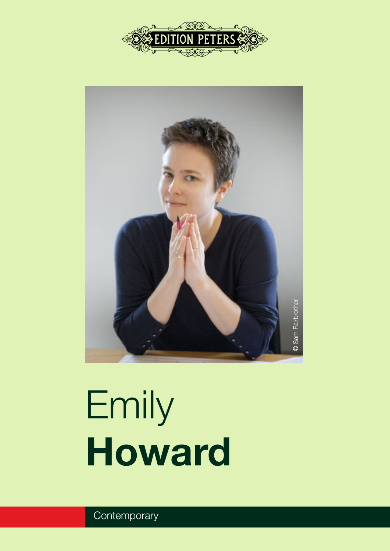



# Emily Howard

**Contemporary**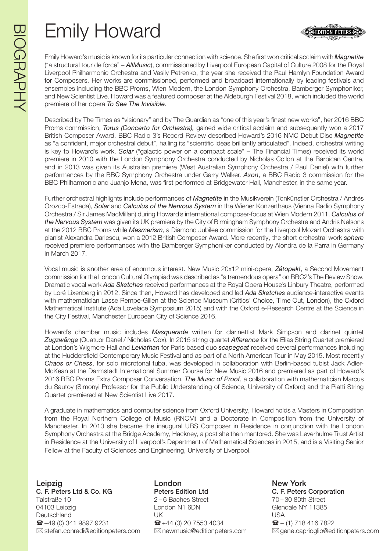# Emily Howard

Emily Howard's music is known for its particular connection with science. She first won critical acclaim with *Magnetite* ("a structural tour de force" – *AllMusic*), commissioned by Liverpool European Capital of Culture 2008 for the Royal Liverpool Philharmonic Orchestra and Vasily Petrenko, the year she received the Paul Hamlyn Foundation Award for Composers. Her works are commissioned, performed and broadcast internationally by leading festivals and ensembles including the BBC Proms, Wien Modern, the London Symphony Orchestra, Bamberger Symphoniker, and New Scientist Live. Howard was a featured composer at the Aldeburgh Festival 2018, which included the world premiere of her opera *To See The Invisible*.

Described by The Times as "visionary" and by The Guardian as "one of this year's finest new works", her 2016 BBC Proms commission, *Torus (Concerto for Orchestra),* gained wide critical acclaim and subsequently won a 2017 British Composer Award. BBC Radio 3's Record Review described Howard's 2016 NMC Debut Disc *Magnetite* as "a confident, major orchestral debut", hailing its "scientific ideas brilliantly articulated". Indeed, orchestral writing is key to Howard's work. *Solar* ("galactic power on a compact scale" – The Financial Times) received its world premiere in 2010 with the London Symphony Orchestra conducted by Nicholas Collon at the Barbican Centre, and in 2013 was given its Australian premiere (West Australian Symphony Orchestra / Paul Daniel) with further performances by the BBC Symphony Orchestra under Garry Walker. *Axon*, a BBC Radio 3 commission for the BBC Philharmonic and Juanjo Mena, was first performed at Bridgewater Hall, Manchester, in the same year.

Further orchestral highlights include performances of *Magnetite* in the Musikverein (Tonkünstler Orchestra / Andrés Orozco-Estrada), *Solar* and *Calculus of the Nervous System* in the Wiener Konzerthaus (Vienna Radio Symphony Orchestra / Sir James MacMillan) during Howard's international composer-focus at Wien Modern 2011. *Calculus of the Nervous System* was given its UK premiere by the City of Birmingham Symphony Orchestra and Andris Nelsons at the 2012 BBC Proms while *Mesmerism*, a Diamond Jubilee commission for the Liverpool Mozart Orchestra with pianist Alexandra Dariescu, won a 2012 British Composer Award. More recently, the short orchestral work *sphere* received premiere performances with the Bamberger Symphoniker conducted by Alondra de la Parra in Germany in March 2017.

Vocal music is another area of enormous interest. New Music 20x12 mini-opera, *Zátopek!*, a Second Movement commission for the London Cultural Olympiad was described as "a tremendous opera" on BBC2's The Review Show. Dramatic vocal work *Ada Sketches* received performances at the Royal Opera House's Linbury Theatre, performed by Loré Lixenberg in 2012. Since then, Howard has developed and led *Ada Sketches* audience-interactive events with mathematician Lasse Rempe-Gillen at the Science Museum (Critics' Choice, Time Out, London), the Oxford Mathematical Institute (Ada Lovelace Symposium 2015) and with the Oxford e-Research Centre at the Science in the City Festival, Manchester European City of Science 2016.

Howard's chamber music includes *Masquerade* written for clarinettist Mark Simpson and clarinet quintet *Zugzwänge* (Quatuor Danel / Nicholas Cox). In 2015 string quartet *Afference* for the Elias String Quartet premiered at London's Wigmore Hall and *Leviathan* for Paris based duo *scapegoat* received several performances including at the Huddersfield Contemporary Music Festival and as part of a North American Tour in May 2015. Most recently *Chaos or Chess*, for solo microtonal tuba, was developed in collaboration with Berlin-based tubist Jack Adler-McKean at the Darmstadt International Summer Course for New Music 2016 and premiered as part of Howard's 2016 BBC Proms Extra Composer Conversation. *The Music of Proof*, a collaboration with mathematician Marcus du Sautoy (Simonyi Professor for the Public Understanding of Science, University of Oxford) and the Piatti String Quartet premiered at New Scientist Live 2017.

A graduate in mathematics and computer science from Oxford University, Howard holds a Masters in Composition from the Royal Northern College of Music (RNCM) and a Doctorate in Composition from the University of Manchester. In 2010 she became the inaugural UBS Composer in Residence in conjunction with the London Symphony Orchestra at the Bridge Academy, Hackney, a post she then mentored. She was Leverhulme Trust Artist in Residence at the University of Liverpool's Department of Mathematical Sciences in 2015, and is a Visiting Senior Fellow at the Faculty of Sciences and Engineering, University of Liverpool.

Leipzig **Communist Communist London** Communist Communist New York C. F. Peters Ltd & Co. KG Peters Edition Ltd C. F. Peters Corporation Talstraße 10 2 – 6 Baches Street 70 – 30 80th Street 04103 Leipzig Contact Condon N1 6DN Glendale NY 11385 Deutschland UK USA  $\hat{\mathbf{m}}$  +49 (0) 341 9897 9231  $\hat{\mathbf{m}}$  +44 (0) 20 7553 4034  $\hat{\mathbf{m}}$  + (1) 718 416 7822

 $\boxtimes$  stefan.conradi@editionpeters.com  $\boxtimes$  newmusic@editionpeters.com  $\boxtimes$  gene.caprioglio@editionpeters.com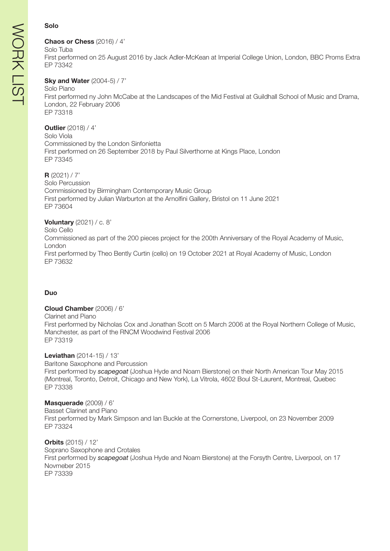#### Solo

#### Chaos or Chess (2016) / 4'

Solo Tuba First performed on 25 August 2016 by Jack Adler-McKean at Imperial College Union, London, BBC Proms Extra EP 73342

### **Sky and Water (2004-5) / 7'**

#### Solo Piano

First performed ny John McCabe at the Landscapes of the Mid Festival at Guildhall School of Music and Drama, London, 22 February 2006 EP 73318

#### **Outlier** (2018) / 4'

Solo Viola Commissioned by the London Sinfonietta First performed on 26 September 2018 by Paul Silverthorne at Kings Place, London EP 73345

#### $R$  (2021) / 7'

Solo Percussion Commissioned by Birmingham Contemporary Music Group First performed by Julian Warburton at the Arnolfini Gallery, Bristol on 11 June 2021 EP 73604

#### **Voluntary** (2021) / c. 8'

Solo Cello Commissioned as part of the 200 pieces project for the 200th Anniversary of the Royal Academy of Music, London First performed by Theo Bently Curtin (cello) on 19 October 2021 at Royal Academy of Music, London EP 73632

#### Duo

#### Cloud Chamber (2006) / 6'

Clarinet and Piano

First performed by Nicholas Cox and Jonathan Scott on 5 March 2006 at the Royal Northern College of Music, Manchester, as part of the RNCM Woodwind Festival 2006 EP 73319

#### Leviathan (2014-15) / 13'

Baritone Saxophone and Percussion First performed by *scapegoat* (Joshua Hyde and Noam Bierstone) on their North American Tour May 2015 (Montreal, Toronto, Detroit, Chicago and New York), La Vitrola, 4602 Boul St-Laurent, Montreal, Quebec EP 73338

#### Masquerade (2009) / 6'

Basset Clarinet and Piano First performed by Mark Simpson and Ian Buckle at the Cornerstone, Liverpool, on 23 November 2009 EP 73324

Orbits (2015) / 12' Soprano Saxophone and Crotales First performed by *scapegoat* (Joshua Hyde and Noam Bierstone) at the Forsyth Centre, Liverpool, on 17 Novmeber 2015 EP 73339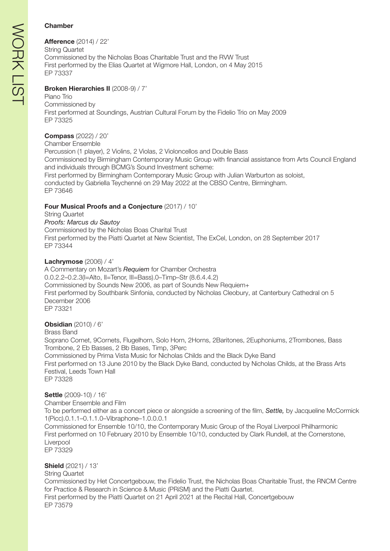#### Chamber

Afference (2014) / 22' String Quartet Commissioned by the Nicholas Boas Charitable Trust and the RVW Trust First performed by the Elias Quartet at Wigmore Hall, London, on 4 May 2015 EP 73337

#### Broken Hierarchies II (2008-9) / 7'

Piano Trio Commissioned by First performed at Soundings, Austrian Cultural Forum by the Fidelio Trio on May 2009 EP 73325

#### Compass (2022) / 20'

Chamber Ensemble

Percussion (1 player), 2 Violins, 2 Violas, 2 Violoncellos and Double Bass Commissioned by Birmingham Contemporary Music Group with financial assistance from Arts Council England and individuals through BCMG's Sound Investment scheme: First performed by Birmingham Contemporary Music Group with Julian Warburton as soloist, conducted by Gabriella Teychenné on 29 May 2022 at the CBSO Centre, Birmingham. EP 73646

#### Four Musical Proofs and a Conjecture (2017) / 10'

String Quartet *Proofs: Marcus du Sautoy* Commissioned by the Nicholas Boas Charital Trust First performed by the Piatti Quartet at New Scientist, The ExCel, London, on 28 September 2017 EP 73344

#### Lachrymose (2006) / 4'

A Commentary on Mozart's *Requiem* for Chamber Orchestra 0.0.2.2–0.2.3(I=Alto, II=Tenor, III=Bass).0–Timp–Str (8.6.4.4.2) Commissioned by Sounds New 2006, as part of Sounds New Requiem+ First performed by Southbank Sinfonia, conducted by Nicholas Cleobury, at Canterbury Cathedral on 5 December 2006 EP 73321

#### Obsidian (2010) / 6'

Brass Band Soprano Cornet, 9Cornets, Flugelhorn, Solo Horn, 2Horns, 2Baritones, 2Euphoniums, 2Trombones, Bass Trombone, 2 Eb Basses, 2 Bb Bases, Timp, 3Perc Commissioned by Prima Vista Music for Nicholas Childs and the Black Dyke Band First performed on 13 June 2010 by the Black Dyke Band, conducted by Nicholas Childs, at the Brass Arts Festival, Leeds Town Hall EP 73328

#### Settle (2009-10) / 16'

Chamber Ensemble and Film To be performed either as a concert piece or alongside a screening of the film, *Settle,* by Jacqueline McCormick 1(Picc).0.1.1–0.1.1.0–Vibraphone–1.0.0.0.1 Commissioned for Ensemble 10/10, the Contemporary Music Group of the Royal Liverpool Philharmonic First performed on 10 February 2010 by Ensemble 10/10, conducted by Clark Rundell, at the Cornerstone, Liverpool EP 73329

#### **Shield** (2021) / 13'

String Quartet

Commissioned by Het Concertgebouw, the Fidelio Trust, the Nicholas Boas Charitable Trust, the RNCM Centre for Practice & Research in Science & Music (PRiSM) and the Piatti Quartet.

First performed by the Piatti Quartet on 21 April 2021 at the Recital Hall, Concertgebouw EP 73579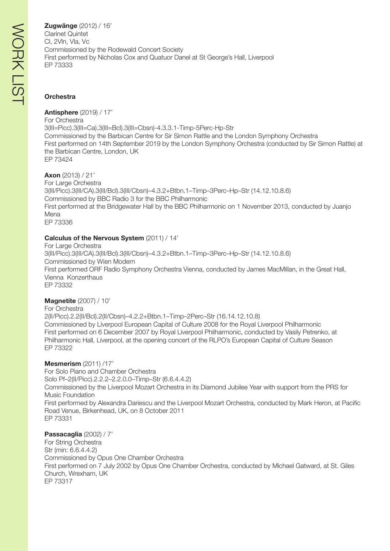Zugwänge (2012) / 16' Clarinet Quintet Cl, 2Vln, Vla, Vc Commissioned by the Rodewald Concert Society First performed by Nicholas Cox and Quatuor Danel at St George's Hall, Liverpool EP 73333

#### **Orchestra**

Antisphere (2019) / 17'

For Orchestra 3(III=Picc).3(III=Ca).3(III=Bcl).3(III=Cbsn)-4.3.3.1-Timp-5Perc-Hp-Str Commissioned by the Barbican Centre for Sir Simon Rattle and the London Symphony Orchestra First performed on 14th September 2019 by the London Symphony Orchestra (conducted by Sir Simon Rattle) at the Barbican Centre, London, UK EP 73424

Axon (2013) / 21' For Large Orchestra 3(III/Picc).3(III/CA).3(III/Bcl).3(III/Cbsn)–4.3.2+Btbn.1–Timp–3Perc–Hp–Str (14.12.10.8.6) Commissioned by BBC Radio 3 for the BBC Philharmonic First performed at the Bridgewater Hall by the BBC Philharmonic on 1 November 2013, conducted by Juanjo Mena EP 73336

#### Calculus of the Nervous System (2011) / 14'

For Large Orchestra 3(III/Picc).3(III/CA).3(III/Bcl).3(III/Cbsn)–4.3.2+Btbn.1–Timp–3Perc–Hp–Str (14.12.10.8.6) Commissioned by Wien Modern First performed ORF Radio Symphony Orchestra Vienna, conducted by James MacMillan, in the Great Hall, Vienna Konzerthaus EP 73332

#### **Magnetite** (2007) / 10'

For Orchestra 2(II/Picc).2.2(II/Bcl).2(II/Cbsn)–4.2.2+Btbn.1–Timp–2Perc–Str (16.14.12.10.8) Commissioned by Liverpool European Capital of Culture 2008 for the Royal Liverpool Philharmonic First performed on 6 December 2007 by Royal Liverpool Philharmonic, conducted by Vasily Petrenko, at Philharmonic Hall, Liverpool, at the opening concert of the RLPO's European Capital of Culture Season EP 73322

#### Mesmerism (2011) /17'

For Solo Piano and Chamber Orchestra Solo Pf–2(II/Picc).2.2.2–2.2.0.0–Timp–Str (6.6.4.4.2) Commissioned by the Liverpool Mozart Orchestra in its Diamond Jubilee Year with support from the PRS for Music Foundation First performed by Alexandra Dariescu and the Liverpool Mozart Orchestra, conducted by Mark Heron, at Pacific Road Venue, Birkenhead, UK, on 8 October 2011 EP 73331

Passacaglia (2002) / 7' For String Orchestra Str (min: 6.6.4.4.2) Commissioned by Opus One Chamber Orchestra First performed on 7 July 2002 by Opus One Chamber Orchestra, conducted by Michael Gatward, at St. Giles Church, Wrexham, UK EP 73317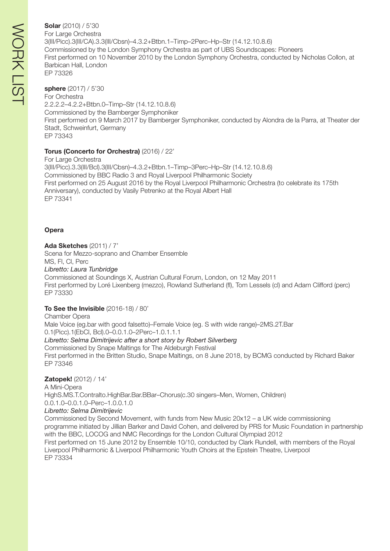Solar (2010) / 5'30 For Large Orchestra 3(III/Picc).3(III/CA).3.3(III/Cbsn)–4.3.2+Btbn.1–Timp–2Perc–Hp–Str (14.12.10.8.6) Commissioned by the London Symphony Orchestra as part of UBS Soundscapes: Pioneers First performed on 10 November 2010 by the London Symphony Orchestra, conducted by Nicholas Collon, at Barbican Hall, London EP 73326

sphere (2017) / 5'30 For Orchestra 2.2.2.2–4.2.2+Btbn.0–Timp–Str (14.12.10.8.6) Commissioned by the Bamberger Symphoniker First performed on 9 March 2017 by Bamberger Symphoniker, conducted by Alondra de la Parra, at Theater der Stadt, Schweinfurt, Germany EP 73343

#### Torus (Concerto for Orchestra) (2016) / 22'

For Large Orchestra 3(III/Picc).3.3(III/Bcl).3(III/Cbsn)–4.3.2+Btbn.1–Timp–3Perc–Hp–Str (14.12.10.8.6) Commissioned by BBC Radio 3 and Royal Liverpool Philharmonic Society First performed on 25 August 2016 by the Royal Liverpool Philharmonic Orchestra (to celebrate its 175th Anniversary), conducted by Vasily Petrenko at the Royal Albert Hall EP 73341

#### **Opera**

Ada Sketches (2011) / 7'

Scena for Mezzo-soprano and Chamber Ensemble

MS, Fl, Cl, Perc

*Libretto: Laura Tunbridge*

Commissioned at Soundings X, Austrian Cultural Forum, London, on 12 May 2011 First performed by Loré Lixenberg (mezzo), Rowland Sutherland (fl), Tom Lessels (cl) and Adam Clifford (perc) EP 73330

#### To See the Invisible (2016-18) / 80'

Chamber Opera Male Voice (eg.bar with good falsetto)–Female Voice (eg. S with wide range)–2MS.2T.Bar 0.1(Picc).1(EbCl, Bcl).0–0.0.1.0–2Perc–1.0.1.1.1 *Libretto: Selma Dimitrijevic after a short story by Robert Silverberg* Commissioned by Snape Maltings for The Aldeburgh Festival

First performed in the Britten Studio, Snape Maltings, on 8 June 2018, by BCMG conducted by Richard Baker EP 73346

#### Zatopek! (2012) / 14'

A Mini-Opera

HighS.MS.T.Contralto.HighBar.Bar.BBar–Chorus(c.30 singers–Men, Women, Children) 0.0.1.0–0.0.1.0–Perc–1.0.0.1.0

*Libretto: Selma Dimitrijevic*

Commissioned by Second Movement, with funds from New Music 20x12 – a UK wide commissioning programme initiated by Jillian Barker and David Cohen, and delivered by PRS for Music Foundation in partnership with the BBC, LOCOG and NMC Recordings for the London Cultural Olympiad 2012 First performed on 15 June 2012 by Ensemble 10/10, conducted by Clark Rundell, with members of the Royal Liverpool Philharmonic & Liverpool Philharmonic Youth Choirs at the Epstein Theatre, Liverpool EP 73334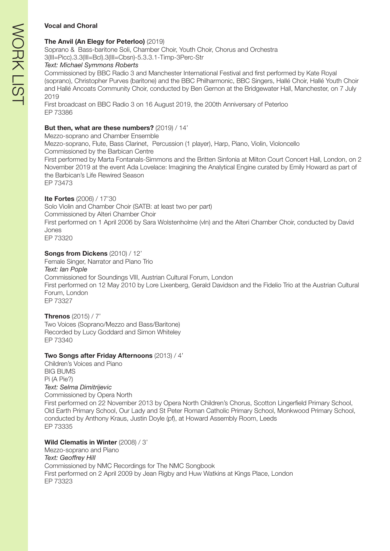#### Vocal and Choral

#### The Anvil (An Elegy for Peterloo) (2019)

Soprano & Bass-baritone Soli, Chamber Choir, Youth Choir, Chorus and Orchestra 3(III=Picc).3.3(III=Bcl).3(III=Cbsn)-5.3.3.1-Timp-3Perc-Str

#### *Text: Michael Symmons Roberts*

Commissioned by BBC Radio 3 and Manchester International Festival and first performed by Kate Royal (soprano), Christopher Purves (baritone) and the BBC Philharmonic, BBC Singers, Hallé Choir, Hallé Youth Choir and Hallé Ancoats Community Choir, conducted by Ben Gernon at the Bridgewater Hall, Manchester, on 7 July 2019

First broadcast on BBC Radio 3 on 16 August 2019, the 200th Anniversary of Peterloo EP 73386

#### But then, what are these numbers? (2019) / 14'

Mezzo-soprano and Chamber Ensemble

Mezzo-soprano, Flute, Bass Clarinet, Percussion (1 player), Harp, Piano, Violin, Violoncello Commissioned by the Barbican Centre

First performed by Marta Fontanals-Simmons and the Britten Sinfonia at Milton Court Concert Hall, London, on 2 November 2019 at the event Ada Lovelace: Imagining the Analytical Engine curated by Emily Howard as part of the Barbican's Life Rewired Season

EP 73473

#### Ite Fortes (2006) / 17'30

Solo Violin and Chamber Choir (SATB: at least two per part) Commissioned by Alteri Chamber Choir First performed on 1 April 2006 by Sara Wolstenholme (vln) and the Alteri Chamber Choir, conducted by David Jones EP 73320

#### Songs from Dickens (2010) / 12'

Female Singer, Narrator and Piano Trio *Text: Ian Pople* Commissioned for Soundings VIII, Austrian Cultural Forum, London First performed on 12 May 2010 by Lore Lixenberg, Gerald Davidson and the Fidelio Trio at the Austrian Cultural Forum, London EP 73327

#### Threnos (2015) / 7'

Two Voices (Soprano/Mezzo and Bass/Baritone) Recorded by Lucy Goddard and Simon Whiteley EP 73340

#### Two Songs after Friday Afternoons (2013) / 4'

Children's Voices and Piano BIG BUMS Pi (A Pie?) *Text: Selma Dimitrijevic* Commissioned by Opera North First performed on 22 November 2013 by Opera North Children's Chorus, Scotton Lingerfield Primary School, Old Earth Primary School, Our Lady and St Peter Roman Catholic Primary School, Monkwood Primary School, conducted by Anthony Kraus, Justin Doyle (pf), at Howard Assembly Room, Leeds EP 73335

#### Wild Clematis in Winter (2008) / 3'

Mezzo-soprano and Piano *Text: Geoffrey Hill* Commissioned by NMC Recordings for The NMC Songbook First performed on 2 April 2009 by Jean Rigby and Huw Watkins at Kings Place, London EP 73323